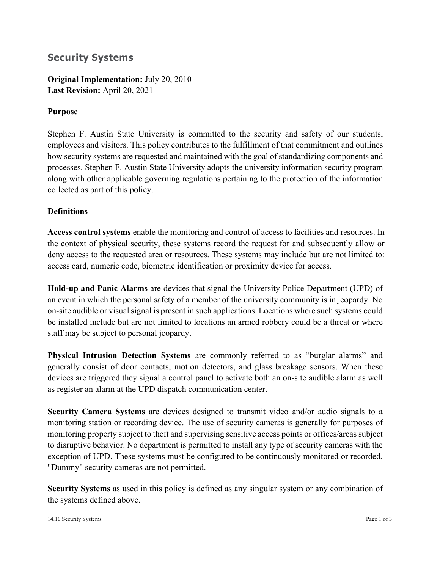# **Security Systems**

**Original Implementation:** July 20, 2010 **Last Revision:** April 20, 2021

## **Purpose**

Stephen F. Austin State University is committed to the security and safety of our students, employees and visitors. This policy contributes to the fulfillment of that commitment and outlines how security systems are requested and maintained with the goal of standardizing components and processes. Stephen F. Austin State University adopts the university information security program along with other applicable governing regulations pertaining to the protection of the information collected as part of this policy.

## **Definitions**

**Access control systems** enable the monitoring and control of access to facilities and resources. In the context of physical security, these systems record the request for and subsequently allow or deny access to the requested area or resources. These systems may include but are not limited to: access card, numeric code, biometric identification or proximity device for access.

**Hold-up and Panic Alarms** are devices that signal the University Police Department (UPD) of an event in which the personal safety of a member of the university community is in jeopardy. No on-site audible or visual signal is present in such applications. Locations where such systems could be installed include but are not limited to locations an armed robbery could be a threat or where staff may be subject to personal jeopardy.

**Physical Intrusion Detection Systems** are commonly referred to as "burglar alarms" and generally consist of door contacts, motion detectors, and glass breakage sensors. When these devices are triggered they signal a control panel to activate both an on-site audible alarm as well as register an alarm at the UPD dispatch communication center.

**Security Camera Systems** are devices designed to transmit video and/or audio signals to a monitoring station or recording device. The use of security cameras is generally for purposes of monitoring property subject to theft and supervising sensitive access points or offices/areas subject to disruptive behavior. No department is permitted to install any type of security cameras with the exception of UPD. These systems must be configured to be continuously monitored or recorded. "Dummy" security cameras are not permitted.

**Security Systems** as used in this policy is defined as any singular system or any combination of the systems defined above.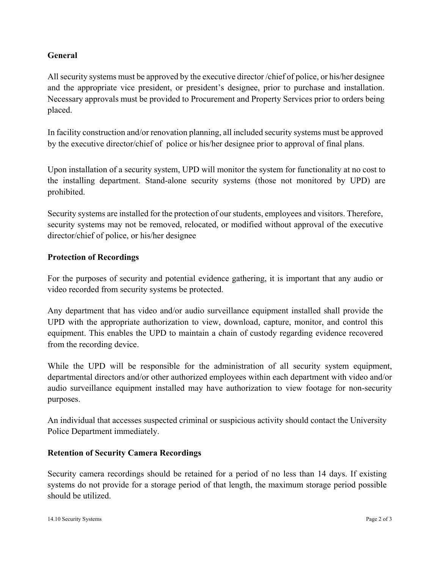## **General**

All security systems must be approved by the executive director /chief of police, or his/her designee and the appropriate vice president, or president's designee, prior to purchase and installation. Necessary approvals must be provided to Procurement and Property Services prior to orders being placed.

In facility construction and/or renovation planning, all included security systems must be approved by the executive director/chief of police or his/her designee prior to approval of final plans.

Upon installation of a security system, UPD will monitor the system for functionality at no cost to the installing department. Stand-alone security systems (those not monitored by UPD) are prohibited.

Security systems are installed for the protection of our students, employees and visitors. Therefore, security systems may not be removed, relocated, or modified without approval of the executive director/chief of police, or his/her designee

#### **Protection of Recordings**

For the purposes of security and potential evidence gathering, it is important that any audio or video recorded from security systems be protected.

Any department that has video and/or audio surveillance equipment installed shall provide the UPD with the appropriate authorization to view, download, capture, monitor, and control this equipment. This enables the UPD to maintain a chain of custody regarding evidence recovered from the recording device.

While the UPD will be responsible for the administration of all security system equipment, departmental directors and/or other authorized employees within each department with video and/or audio surveillance equipment installed may have authorization to view footage for non-security purposes.

An individual that accesses suspected criminal or suspicious activity should contact the University Police Department immediately.

#### **Retention of Security Camera Recordings**

Security camera recordings should be retained for a period of no less than 14 days. If existing systems do not provide for a storage period of that length, the maximum storage period possible should be utilized.